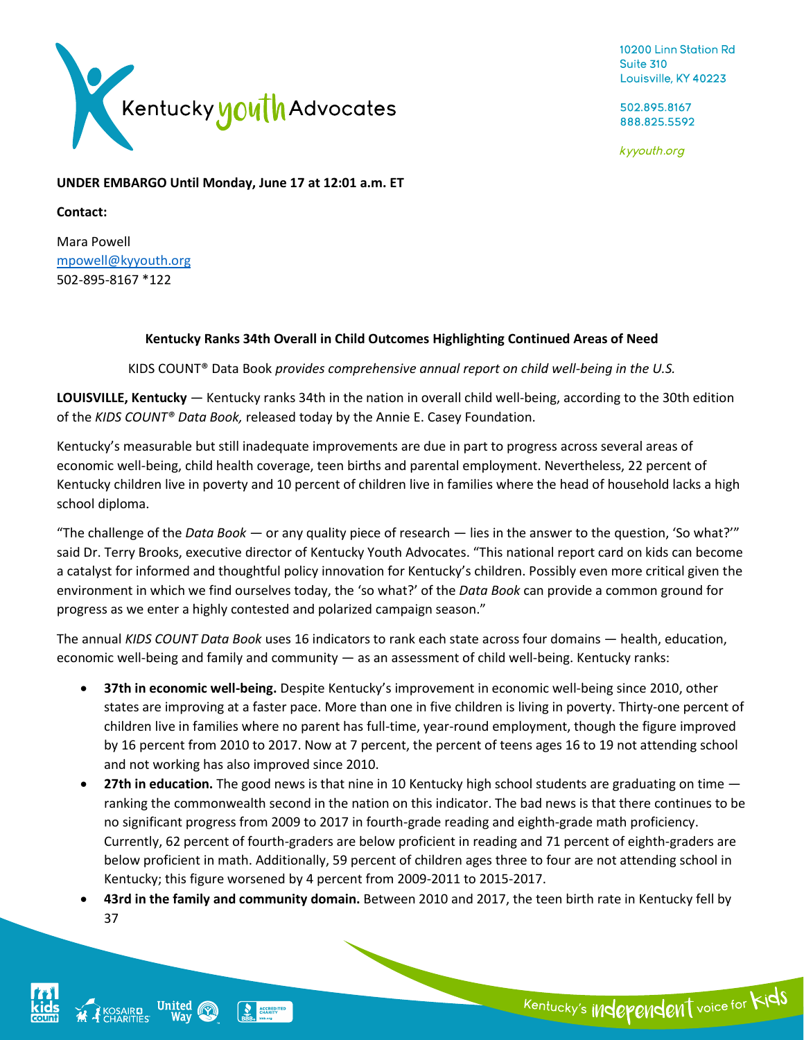

10200 Linn Station Rd Suite 310 Louisville, KY 40223

502.895.8167 888.825.5592

kyyouth.org

**UNDER EMBARGO Until Monday, June 17 at 12:01 a.m. ET**

**Contact:**

Mara Powell [mpowell@kyyouth.org](mailto:mpowell@kyyouth.org) 502-895-8167 \*122

# **Kentucky Ranks 34th Overall in Child Outcomes Highlighting Continued Areas of Need**

KIDS COUNT® Data Book *provides comprehensive annual report on child well-being in the U.S.*

**LOUISVILLE, Kentucky** — Kentucky ranks 34th in the nation in overall child well-being, according to the 30th edition of the *KIDS COUNT® Data Book,* released today by the Annie E. Casey Foundation.

Kentucky's measurable but still inadequate improvements are due in part to progress across several areas of economic well-being, child health coverage, teen births and parental employment. Nevertheless, 22 percent of Kentucky children live in poverty and 10 percent of children live in families where the head of household lacks a high school diploma.

"The challenge of the *Data Book* — or any quality piece of research — lies in the answer to the question, 'So what?'" said Dr. Terry Brooks, executive director of Kentucky Youth Advocates. "This national report card on kids can become a catalyst for informed and thoughtful policy innovation for Kentucky's children. Possibly even more critical given the environment in which we find ourselves today, the 'so what?' of the *Data Book* can provide a common ground for progress as we enter a highly contested and polarized campaign season."

The annual *KIDS COUNT Data Book* uses 16 indicators to rank each state across four domains — health, education, economic well-being and family and community — as an assessment of child well-being. Kentucky ranks:

- **37th in economic well-being.** Despite Kentucky's improvement in economic well-being since 2010, other states are improving at a faster pace. More than one in five children is living in poverty. Thirty-one percent of children live in families where no parent has full-time, year-round employment, though the figure improved by 16 percent from 2010 to 2017. Now at 7 percent, the percent of teens ages 16 to 19 not attending school and not working has also improved since 2010.
- **27th in education.** The good news is that nine in 10 Kentucky high school students are graduating on time ranking the commonwealth second in the nation on this indicator. The bad news is that there continues to be no significant progress from 2009 to 2017 in fourth-grade reading and eighth-grade math proficiency. Currently, 62 percent of fourth-graders are below proficient in reading and 71 percent of eighth-graders are below proficient in math. Additionally, 59 percent of children ages three to four are not attending school in Kentucky; this figure worsened by 4 percent from 2009-2011 to 2015-2017.
- **43rd in the family and community domain.** Between 2010 and 2017, the teen birth rate in Kentucky fell by 37

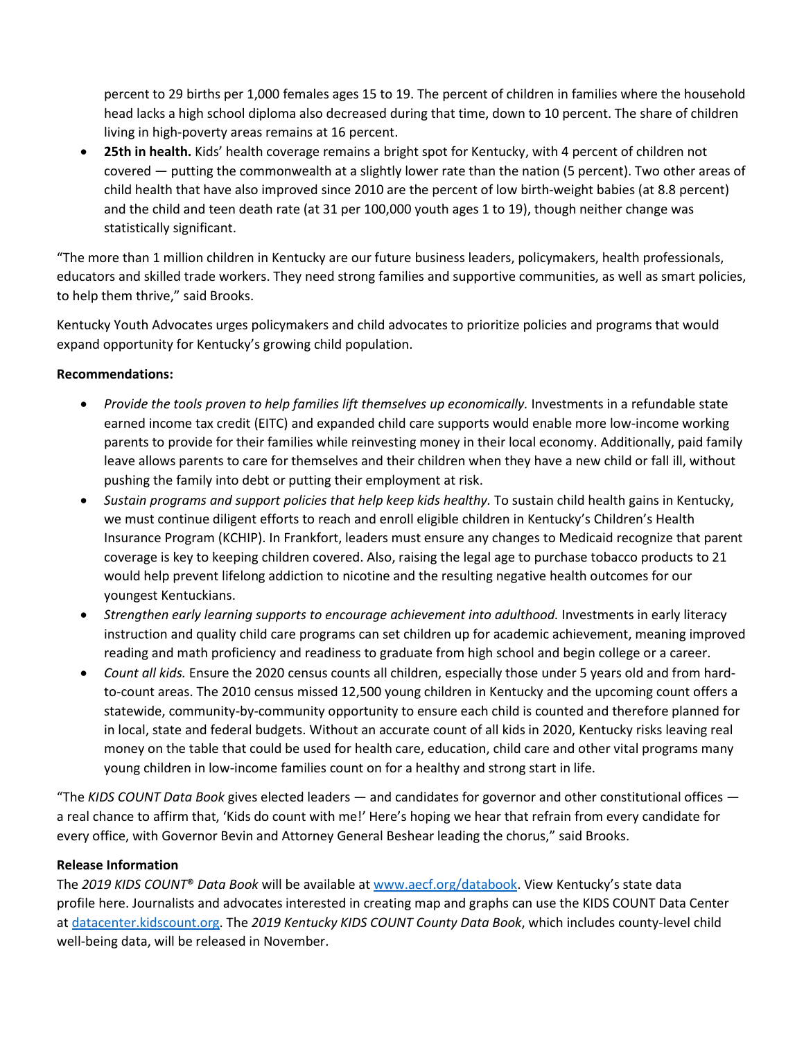percent to 29 births per 1,000 females ages 15 to 19. The percent of children in families where the household head lacks a high school diploma also decreased during that time, down to 10 percent. The share of children living in high-poverty areas remains at 16 percent.

• **25th in health.** Kids' health coverage remains a bright spot for Kentucky, with 4 percent of children not covered — putting the commonwealth at a slightly lower rate than the nation (5 percent). Two other areas of child health that have also improved since 2010 are the percent of low birth-weight babies (at 8.8 percent) and the child and teen death rate (at 31 per 100,000 youth ages 1 to 19), though neither change was statistically significant.

"The more than 1 million children in Kentucky are our future business leaders, policymakers, health professionals, educators and skilled trade workers. They need strong families and supportive communities, as well as smart policies, to help them thrive," said Brooks.

Kentucky Youth Advocates urges policymakers and child advocates to prioritize policies and programs that would expand opportunity for Kentucky's growing child population.

# **Recommendations:**

- *Provide the tools proven to help families lift themselves up economically.* Investments in a refundable state earned income tax credit (EITC) and expanded child care supports would enable more low-income working parents to provide for their families while reinvesting money in their local economy. Additionally, paid family leave allows parents to care for themselves and their children when they have a new child or fall ill, without pushing the family into debt or putting their employment at risk.
- *Sustain programs and support policies that help keep kids healthy*. To sustain child health gains in Kentucky, we must continue diligent efforts to reach and enroll eligible children in Kentucky's Children's Health Insurance Program (KCHIP). In Frankfort, leaders must ensure any changes to Medicaid recognize that parent coverage is key to keeping children covered. Also, raising the legal age to purchase tobacco products to 21 would help prevent lifelong addiction to nicotine and the resulting negative health outcomes for our youngest Kentuckians.
- *Strengthen early learning supports to encourage achievement into adulthood.* Investments in early literacy instruction and quality child care programs can set children up for academic achievement, meaning improved reading and math proficiency and readiness to graduate from high school and begin college or a career.
- *Count all kids.* Ensure the 2020 census counts all children, especially those under 5 years old and from hardto-count areas. The 2010 census missed 12,500 young children in Kentucky and the upcoming count offers a statewide, community-by-community opportunity to ensure each child is counted and therefore planned for in local, state and federal budgets. Without an accurate count of all kids in 2020, Kentucky risks leaving real money on the table that could be used for health care, education, child care and other vital programs many young children in low-income families count on for a healthy and strong start in life.

"The *KIDS COUNT Data Book* gives elected leaders — and candidates for governor and other constitutional offices a real chance to affirm that, 'Kids do count with me!' Here's hoping we hear that refrain from every candidate for every office, with Governor Bevin and Attorney General Beshear leading the chorus," said Brooks.

# **Release Information**

The *2019 KIDS COUNT*® *Data Book* will be available at [www.aecf.org/databook](http://www.aecf.org/databook). View Kentucky's state data profile here. Journalists and advocates interested in creating map and graphs can use the KIDS COUNT Data Center at [datacenter.kidscount.org.](https://datacenter.kidscount.org/) The *2019 Kentucky KIDS COUNT County Data Book*, which includes county-level child well-being data, will be released in November.